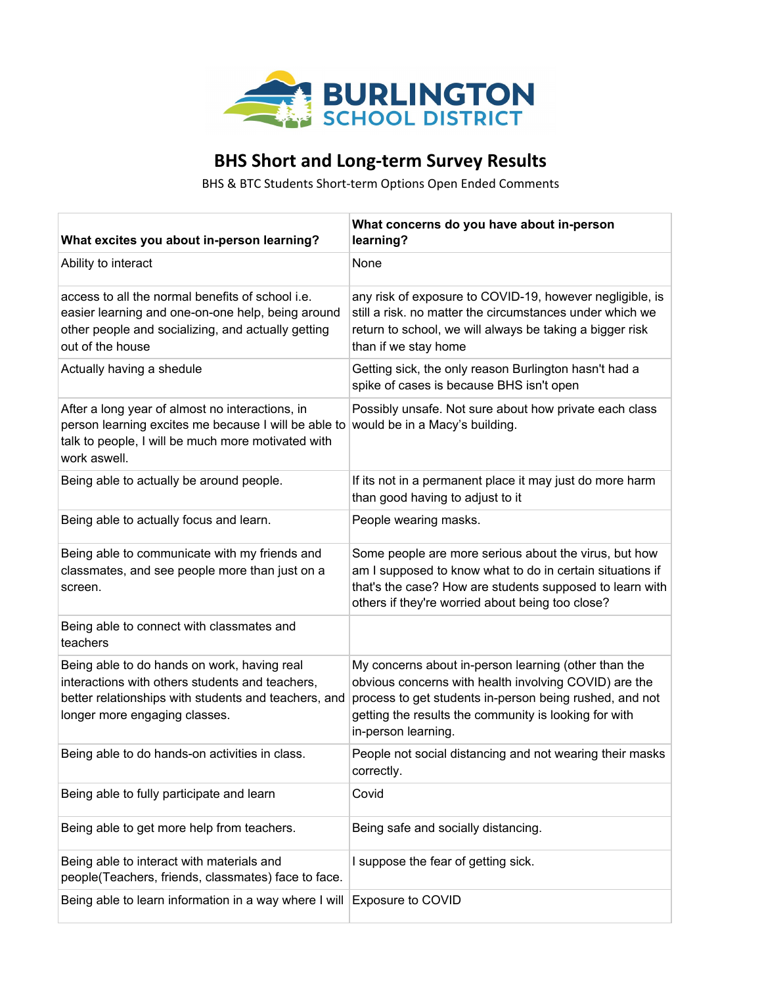

## **BHS Short and Long-term Survey Results**

BHS & BTC Students Short-term Options Open Ended Comments

| What excites you about in-person learning?                                                                                                                                                                   | What concerns do you have about in-person<br>learning?                                                                                                                                                                                                   |
|--------------------------------------------------------------------------------------------------------------------------------------------------------------------------------------------------------------|----------------------------------------------------------------------------------------------------------------------------------------------------------------------------------------------------------------------------------------------------------|
| Ability to interact                                                                                                                                                                                          | None                                                                                                                                                                                                                                                     |
| access to all the normal benefits of school i.e.<br>easier learning and one-on-one help, being around<br>other people and socializing, and actually getting<br>out of the house                              | any risk of exposure to COVID-19, however negligible, is<br>still a risk. no matter the circumstances under which we<br>return to school, we will always be taking a bigger risk<br>than if we stay home                                                 |
| Actually having a shedule                                                                                                                                                                                    | Getting sick, the only reason Burlington hasn't had a<br>spike of cases is because BHS isn't open                                                                                                                                                        |
| After a long year of almost no interactions, in<br>person learning excites me because I will be able to would be in a Macy's building.<br>talk to people, I will be much more motivated with<br>work aswell. | Possibly unsafe. Not sure about how private each class                                                                                                                                                                                                   |
| Being able to actually be around people.                                                                                                                                                                     | If its not in a permanent place it may just do more harm<br>than good having to adjust to it                                                                                                                                                             |
| Being able to actually focus and learn.                                                                                                                                                                      | People wearing masks.                                                                                                                                                                                                                                    |
| Being able to communicate with my friends and<br>classmates, and see people more than just on a<br>screen.                                                                                                   | Some people are more serious about the virus, but how<br>am I supposed to know what to do in certain situations if<br>that's the case? How are students supposed to learn with<br>others if they're worried about being too close?                       |
| Being able to connect with classmates and<br>teachers                                                                                                                                                        |                                                                                                                                                                                                                                                          |
| Being able to do hands on work, having real<br>interactions with others students and teachers,<br>better relationships with students and teachers, and<br>longer more engaging classes.                      | My concerns about in-person learning (other than the<br>obvious concerns with health involving COVID) are the<br>process to get students in-person being rushed, and not<br>getting the results the community is looking for with<br>in-person learning. |
| Being able to do hands-on activities in class.                                                                                                                                                               | People not social distancing and not wearing their masks<br>correctly.                                                                                                                                                                                   |
| Being able to fully participate and learn                                                                                                                                                                    | Covid                                                                                                                                                                                                                                                    |
| Being able to get more help from teachers.                                                                                                                                                                   | Being safe and socially distancing.                                                                                                                                                                                                                      |
| Being able to interact with materials and<br>people(Teachers, friends, classmates) face to face.                                                                                                             | I suppose the fear of getting sick.                                                                                                                                                                                                                      |
| Being able to learn information in a way where I will                                                                                                                                                        | Exposure to COVID                                                                                                                                                                                                                                        |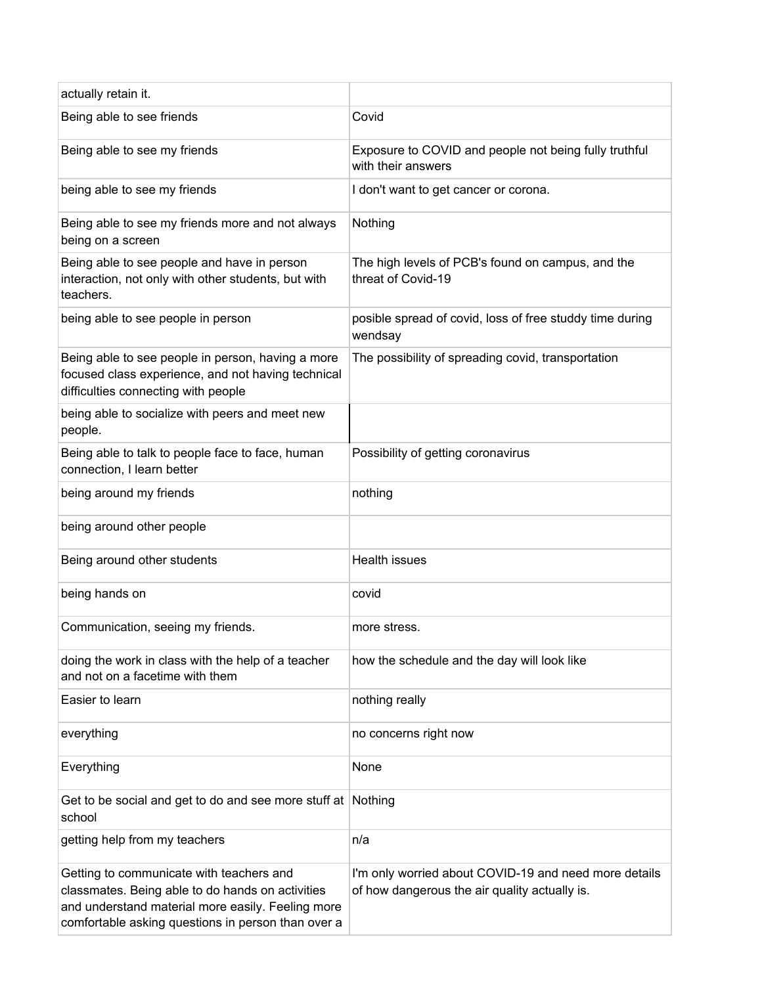| actually retain it.                                                                                                                                                                                     |                                                                                                        |
|---------------------------------------------------------------------------------------------------------------------------------------------------------------------------------------------------------|--------------------------------------------------------------------------------------------------------|
| Being able to see friends                                                                                                                                                                               | Covid                                                                                                  |
| Being able to see my friends                                                                                                                                                                            | Exposure to COVID and people not being fully truthful<br>with their answers                            |
| being able to see my friends                                                                                                                                                                            | I don't want to get cancer or corona.                                                                  |
| Being able to see my friends more and not always<br>being on a screen                                                                                                                                   | Nothing                                                                                                |
| Being able to see people and have in person<br>interaction, not only with other students, but with<br>teachers.                                                                                         | The high levels of PCB's found on campus, and the<br>threat of Covid-19                                |
| being able to see people in person                                                                                                                                                                      | posible spread of covid, loss of free studdy time during<br>wendsay                                    |
| Being able to see people in person, having a more<br>focused class experience, and not having technical<br>difficulties connecting with people                                                          | The possibility of spreading covid, transportation                                                     |
| being able to socialize with peers and meet new<br>people.                                                                                                                                              |                                                                                                        |
| Being able to talk to people face to face, human<br>connection, I learn better                                                                                                                          | Possibility of getting coronavirus                                                                     |
| being around my friends                                                                                                                                                                                 | nothing                                                                                                |
| being around other people                                                                                                                                                                               |                                                                                                        |
| Being around other students                                                                                                                                                                             | <b>Health issues</b>                                                                                   |
| being hands on                                                                                                                                                                                          | covid                                                                                                  |
| Communication, seeing my friends.                                                                                                                                                                       | more stress.                                                                                           |
| doing the work in class with the help of a teacher<br>and not on a facetime with them                                                                                                                   | how the schedule and the day will look like                                                            |
| Easier to learn                                                                                                                                                                                         | nothing really                                                                                         |
| everything                                                                                                                                                                                              | no concerns right now                                                                                  |
| Everything                                                                                                                                                                                              | None                                                                                                   |
| Get to be social and get to do and see more stuff at Nothing<br>school                                                                                                                                  |                                                                                                        |
| getting help from my teachers                                                                                                                                                                           | n/a                                                                                                    |
| Getting to communicate with teachers and<br>classmates. Being able to do hands on activities<br>and understand material more easily. Feeling more<br>comfortable asking questions in person than over a | I'm only worried about COVID-19 and need more details<br>of how dangerous the air quality actually is. |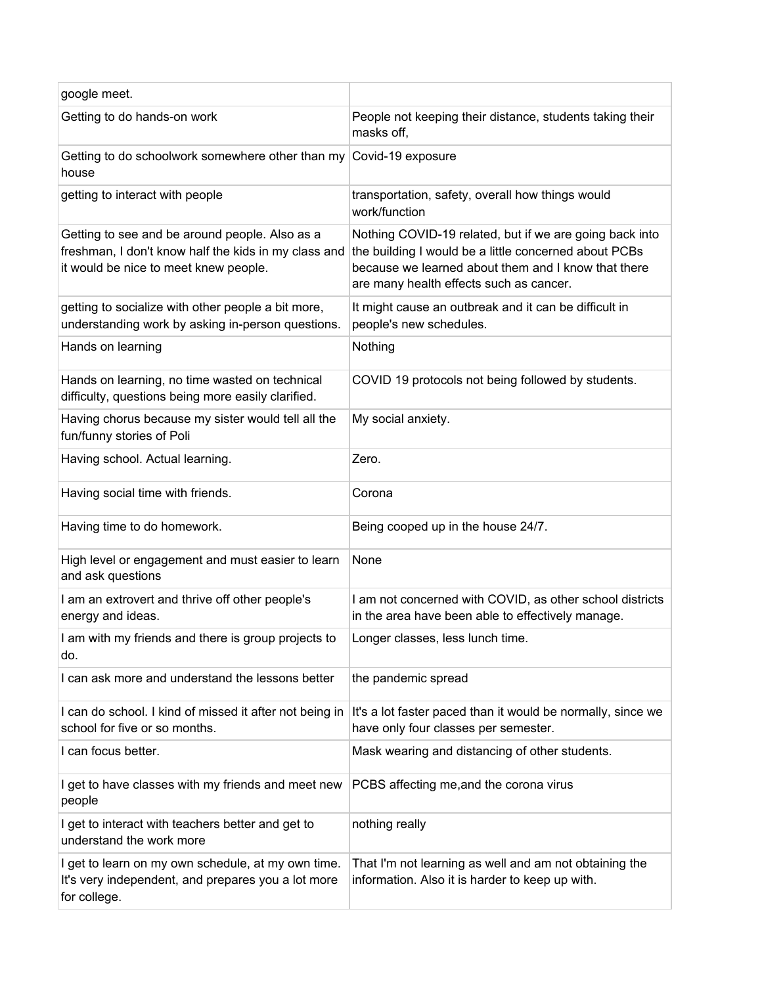| google meet.                                                                                                                                    |                                                                                                                                                                                                                    |
|-------------------------------------------------------------------------------------------------------------------------------------------------|--------------------------------------------------------------------------------------------------------------------------------------------------------------------------------------------------------------------|
| Getting to do hands-on work                                                                                                                     | People not keeping their distance, students taking their<br>masks off,                                                                                                                                             |
| Getting to do schoolwork somewhere other than my Covid-19 exposure<br>house                                                                     |                                                                                                                                                                                                                    |
| getting to interact with people                                                                                                                 | transportation, safety, overall how things would<br>work/function                                                                                                                                                  |
| Getting to see and be around people. Also as a<br>freshman, I don't know half the kids in my class and<br>it would be nice to meet knew people. | Nothing COVID-19 related, but if we are going back into<br>the building I would be a little concerned about PCBs<br>because we learned about them and I know that there<br>are many health effects such as cancer. |
| getting to socialize with other people a bit more,<br>understanding work by asking in-person questions.                                         | It might cause an outbreak and it can be difficult in<br>people's new schedules.                                                                                                                                   |
| Hands on learning                                                                                                                               | Nothing                                                                                                                                                                                                            |
| Hands on learning, no time wasted on technical<br>difficulty, questions being more easily clarified.                                            | COVID 19 protocols not being followed by students.                                                                                                                                                                 |
| Having chorus because my sister would tell all the<br>fun/funny stories of Poli                                                                 | My social anxiety.                                                                                                                                                                                                 |
| Having school. Actual learning.                                                                                                                 | Zero.                                                                                                                                                                                                              |
| Having social time with friends.                                                                                                                | Corona                                                                                                                                                                                                             |
| Having time to do homework.                                                                                                                     | Being cooped up in the house 24/7.                                                                                                                                                                                 |
| High level or engagement and must easier to learn<br>and ask questions                                                                          | None                                                                                                                                                                                                               |
| I am an extrovert and thrive off other people's<br>energy and ideas.                                                                            | I am not concerned with COVID, as other school districts<br>in the area have been able to effectively manage.                                                                                                      |
| I am with my friends and there is group projects to<br>do.                                                                                      | Longer classes, less lunch time.                                                                                                                                                                                   |
| I can ask more and understand the lessons better                                                                                                | the pandemic spread                                                                                                                                                                                                |
| I can do school. I kind of missed it after not being in<br>school for five or so months.                                                        | It's a lot faster paced than it would be normally, since we<br>have only four classes per semester.                                                                                                                |
| I can focus better.                                                                                                                             | Mask wearing and distancing of other students.                                                                                                                                                                     |
| I get to have classes with my friends and meet new<br>people                                                                                    | PCBS affecting me, and the corona virus                                                                                                                                                                            |
| I get to interact with teachers better and get to<br>understand the work more                                                                   | nothing really                                                                                                                                                                                                     |
| I get to learn on my own schedule, at my own time.<br>It's very independent, and prepares you a lot more<br>for college.                        | That I'm not learning as well and am not obtaining the<br>information. Also it is harder to keep up with.                                                                                                          |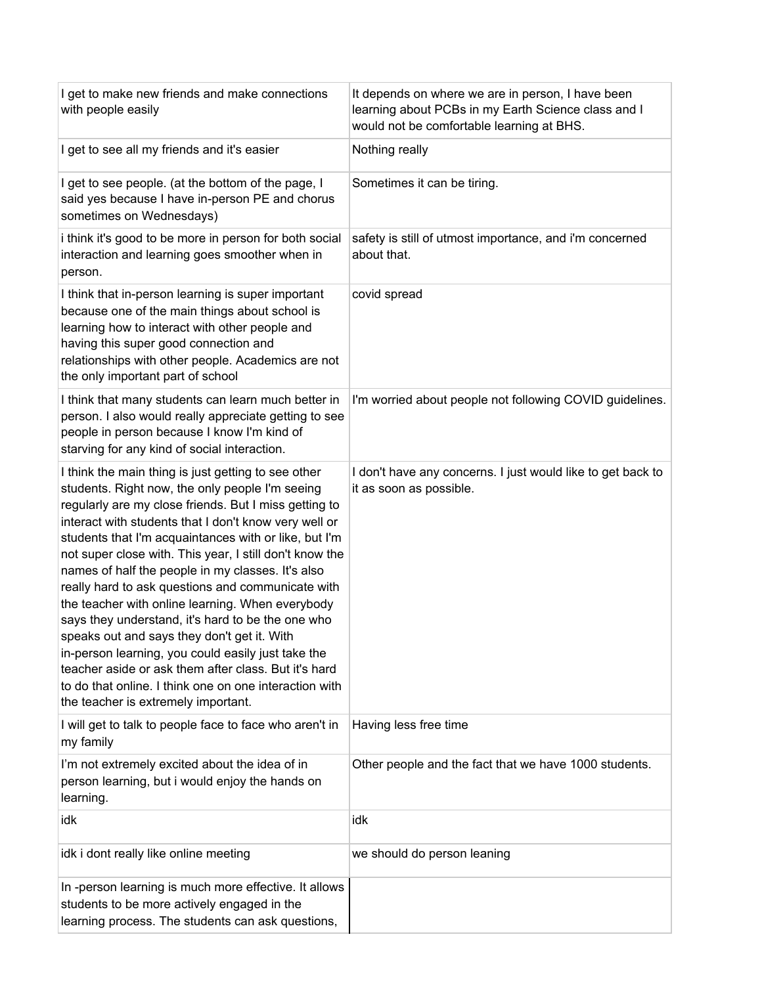| I get to make new friends and make connections<br>with people easily                                                                                                                                                                                                                                                                                                                                                                                                                                                                                                                                                                                                                                                                                                                                                          | It depends on where we are in person, I have been<br>learning about PCBs in my Earth Science class and I<br>would not be comfortable learning at BHS. |
|-------------------------------------------------------------------------------------------------------------------------------------------------------------------------------------------------------------------------------------------------------------------------------------------------------------------------------------------------------------------------------------------------------------------------------------------------------------------------------------------------------------------------------------------------------------------------------------------------------------------------------------------------------------------------------------------------------------------------------------------------------------------------------------------------------------------------------|-------------------------------------------------------------------------------------------------------------------------------------------------------|
| I get to see all my friends and it's easier                                                                                                                                                                                                                                                                                                                                                                                                                                                                                                                                                                                                                                                                                                                                                                                   | Nothing really                                                                                                                                        |
| I get to see people. (at the bottom of the page, I<br>said yes because I have in-person PE and chorus<br>sometimes on Wednesdays)                                                                                                                                                                                                                                                                                                                                                                                                                                                                                                                                                                                                                                                                                             | Sometimes it can be tiring.                                                                                                                           |
| i think it's good to be more in person for both social<br>interaction and learning goes smoother when in<br>person.                                                                                                                                                                                                                                                                                                                                                                                                                                                                                                                                                                                                                                                                                                           | safety is still of utmost importance, and i'm concerned<br>about that.                                                                                |
| I think that in-person learning is super important<br>because one of the main things about school is<br>learning how to interact with other people and<br>having this super good connection and<br>relationships with other people. Academics are not<br>the only important part of school                                                                                                                                                                                                                                                                                                                                                                                                                                                                                                                                    | covid spread                                                                                                                                          |
| I think that many students can learn much better in<br>person. I also would really appreciate getting to see<br>people in person because I know I'm kind of<br>starving for any kind of social interaction.                                                                                                                                                                                                                                                                                                                                                                                                                                                                                                                                                                                                                   | I'm worried about people not following COVID guidelines.                                                                                              |
| I think the main thing is just getting to see other<br>students. Right now, the only people I'm seeing<br>regularly are my close friends. But I miss getting to<br>interact with students that I don't know very well or<br>students that I'm acquaintances with or like, but I'm<br>not super close with. This year, I still don't know the<br>names of half the people in my classes. It's also<br>really hard to ask questions and communicate with<br>the teacher with online learning. When everybody<br>says they understand, it's hard to be the one who<br>speaks out and says they don't get it. With<br>in-person learning, you could easily just take the<br>teacher aside or ask them after class. But it's hard<br>to do that online. I think one on one interaction with<br>the teacher is extremely important. | I don't have any concerns. I just would like to get back to<br>it as soon as possible.                                                                |
| I will get to talk to people face to face who aren't in<br>my family                                                                                                                                                                                                                                                                                                                                                                                                                                                                                                                                                                                                                                                                                                                                                          | Having less free time                                                                                                                                 |
| I'm not extremely excited about the idea of in<br>person learning, but i would enjoy the hands on<br>learning.                                                                                                                                                                                                                                                                                                                                                                                                                                                                                                                                                                                                                                                                                                                | Other people and the fact that we have 1000 students.                                                                                                 |
| idk                                                                                                                                                                                                                                                                                                                                                                                                                                                                                                                                                                                                                                                                                                                                                                                                                           | idk                                                                                                                                                   |
| idk i dont really like online meeting                                                                                                                                                                                                                                                                                                                                                                                                                                                                                                                                                                                                                                                                                                                                                                                         | we should do person leaning                                                                                                                           |
| In -person learning is much more effective. It allows<br>students to be more actively engaged in the<br>learning process. The students can ask questions,                                                                                                                                                                                                                                                                                                                                                                                                                                                                                                                                                                                                                                                                     |                                                                                                                                                       |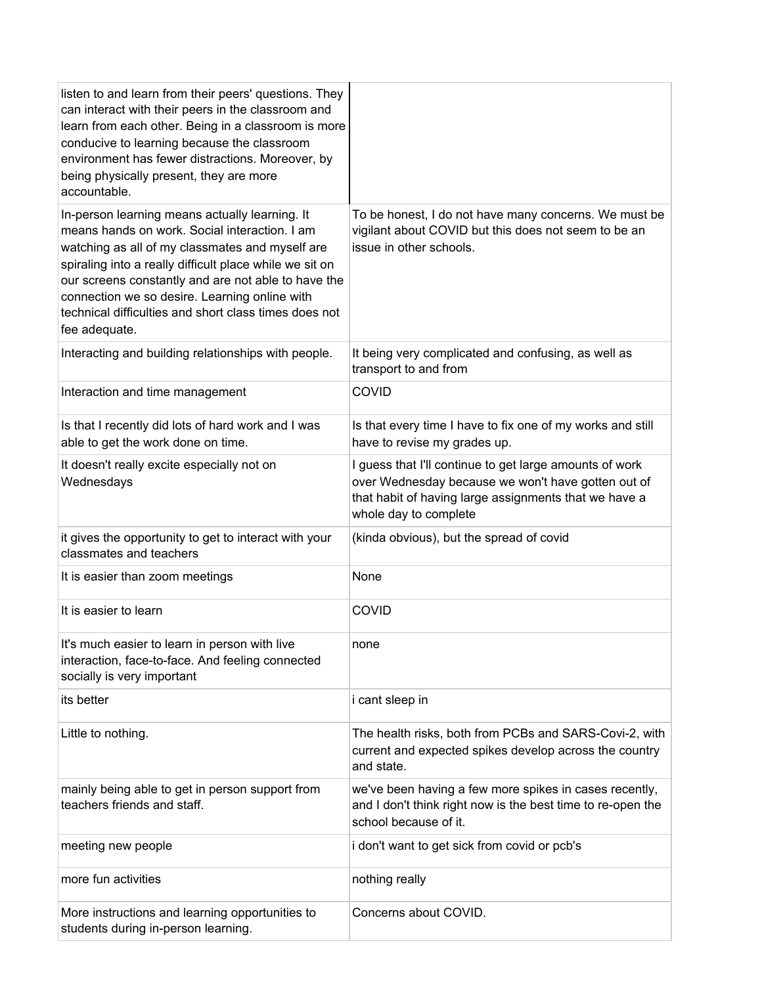| listen to and learn from their peers' questions. They<br>can interact with their peers in the classroom and<br>learn from each other. Being in a classroom is more<br>conducive to learning because the classroom<br>environment has fewer distractions. Moreover, by<br>being physically present, they are more<br>accountable.                                                                |                                                                                                                                                                                                 |
|-------------------------------------------------------------------------------------------------------------------------------------------------------------------------------------------------------------------------------------------------------------------------------------------------------------------------------------------------------------------------------------------------|-------------------------------------------------------------------------------------------------------------------------------------------------------------------------------------------------|
| In-person learning means actually learning. It<br>means hands on work. Social interaction. I am<br>watching as all of my classmates and myself are<br>spiraling into a really difficult place while we sit on<br>our screens constantly and are not able to have the<br>connection we so desire. Learning online with<br>technical difficulties and short class times does not<br>fee adequate. | To be honest, I do not have many concerns. We must be<br>vigilant about COVID but this does not seem to be an<br>issue in other schools.                                                        |
| Interacting and building relationships with people.                                                                                                                                                                                                                                                                                                                                             | It being very complicated and confusing, as well as<br>transport to and from                                                                                                                    |
| Interaction and time management                                                                                                                                                                                                                                                                                                                                                                 | <b>COVID</b>                                                                                                                                                                                    |
| Is that I recently did lots of hard work and I was<br>able to get the work done on time.                                                                                                                                                                                                                                                                                                        | Is that every time I have to fix one of my works and still<br>have to revise my grades up.                                                                                                      |
| It doesn't really excite especially not on<br>Wednesdays                                                                                                                                                                                                                                                                                                                                        | I guess that I'll continue to get large amounts of work<br>over Wednesday because we won't have gotten out of<br>that habit of having large assignments that we have a<br>whole day to complete |
| it gives the opportunity to get to interact with your<br>classmates and teachers                                                                                                                                                                                                                                                                                                                | (kinda obvious), but the spread of covid                                                                                                                                                        |
| It is easier than zoom meetings                                                                                                                                                                                                                                                                                                                                                                 | None                                                                                                                                                                                            |
| It is easier to learn                                                                                                                                                                                                                                                                                                                                                                           | COVID                                                                                                                                                                                           |
| It's much easier to learn in person with live<br>interaction, face-to-face. And feeling connected<br>socially is very important                                                                                                                                                                                                                                                                 | none                                                                                                                                                                                            |
| its better                                                                                                                                                                                                                                                                                                                                                                                      | i cant sleep in                                                                                                                                                                                 |
| Little to nothing.                                                                                                                                                                                                                                                                                                                                                                              | The health risks, both from PCBs and SARS-Covi-2, with<br>current and expected spikes develop across the country<br>and state.                                                                  |
| mainly being able to get in person support from<br>teachers friends and staff.                                                                                                                                                                                                                                                                                                                  | we've been having a few more spikes in cases recently,<br>and I don't think right now is the best time to re-open the<br>school because of it.                                                  |
| meeting new people                                                                                                                                                                                                                                                                                                                                                                              | i don't want to get sick from covid or pcb's                                                                                                                                                    |
| more fun activities                                                                                                                                                                                                                                                                                                                                                                             | nothing really                                                                                                                                                                                  |
| More instructions and learning opportunities to<br>students during in-person learning.                                                                                                                                                                                                                                                                                                          | Concerns about COVID.                                                                                                                                                                           |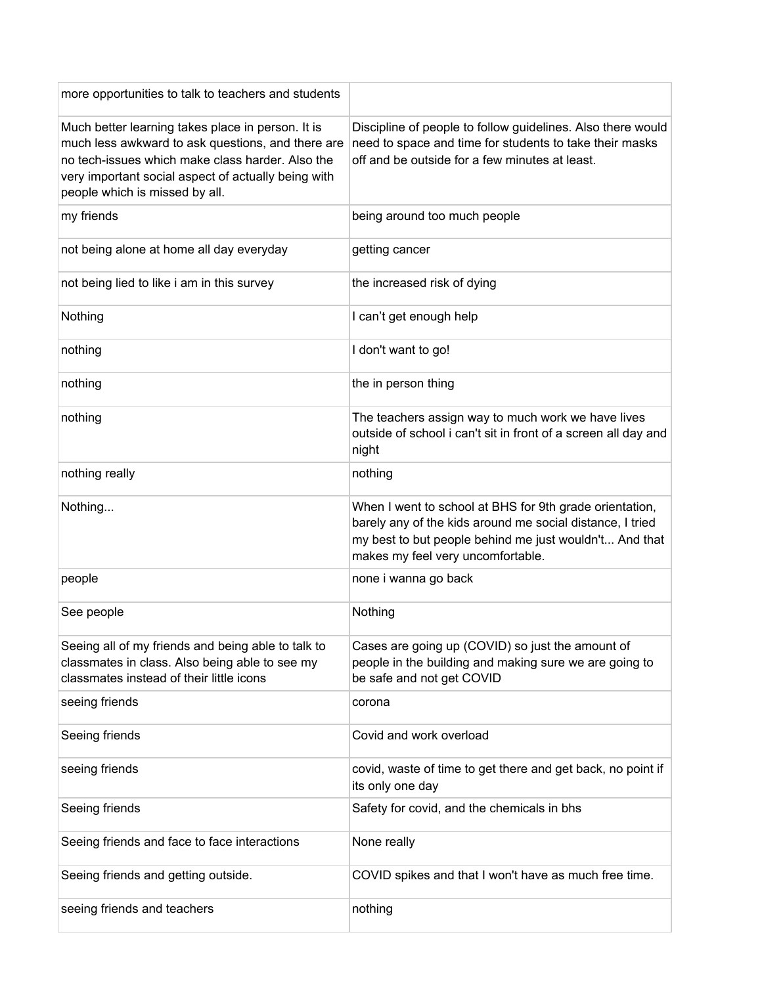| more opportunities to talk to teachers and students                                                                                                                                                                                                 |                                                                                                                                                                                                                     |
|-----------------------------------------------------------------------------------------------------------------------------------------------------------------------------------------------------------------------------------------------------|---------------------------------------------------------------------------------------------------------------------------------------------------------------------------------------------------------------------|
| Much better learning takes place in person. It is<br>much less awkward to ask questions, and there are<br>no tech-issues which make class harder. Also the<br>very important social aspect of actually being with<br>people which is missed by all. | Discipline of people to follow guidelines. Also there would<br>need to space and time for students to take their masks<br>off and be outside for a few minutes at least.                                            |
| my friends                                                                                                                                                                                                                                          | being around too much people                                                                                                                                                                                        |
| not being alone at home all day everyday                                                                                                                                                                                                            | getting cancer                                                                                                                                                                                                      |
| not being lied to like i am in this survey                                                                                                                                                                                                          | the increased risk of dying                                                                                                                                                                                         |
| Nothing                                                                                                                                                                                                                                             | I can't get enough help                                                                                                                                                                                             |
| nothing                                                                                                                                                                                                                                             | I don't want to go!                                                                                                                                                                                                 |
| nothing                                                                                                                                                                                                                                             | the in person thing                                                                                                                                                                                                 |
| nothing                                                                                                                                                                                                                                             | The teachers assign way to much work we have lives<br>outside of school i can't sit in front of a screen all day and<br>night                                                                                       |
| nothing really                                                                                                                                                                                                                                      | nothing                                                                                                                                                                                                             |
| Nothing                                                                                                                                                                                                                                             | When I went to school at BHS for 9th grade orientation,<br>barely any of the kids around me social distance, I tried<br>my best to but people behind me just wouldn't And that<br>makes my feel very uncomfortable. |
| people                                                                                                                                                                                                                                              | none i wanna go back                                                                                                                                                                                                |
| See people                                                                                                                                                                                                                                          | Nothing                                                                                                                                                                                                             |
| Seeing all of my friends and being able to talk to<br>classmates in class. Also being able to see my<br>classmates instead of their little icons                                                                                                    | Cases are going up (COVID) so just the amount of<br>people in the building and making sure we are going to<br>be safe and not get COVID                                                                             |
| seeing friends                                                                                                                                                                                                                                      | corona                                                                                                                                                                                                              |
| Seeing friends                                                                                                                                                                                                                                      | Covid and work overload                                                                                                                                                                                             |
| seeing friends                                                                                                                                                                                                                                      | covid, waste of time to get there and get back, no point if<br>its only one day                                                                                                                                     |
| Seeing friends                                                                                                                                                                                                                                      | Safety for covid, and the chemicals in bhs                                                                                                                                                                          |
| Seeing friends and face to face interactions                                                                                                                                                                                                        | None really                                                                                                                                                                                                         |
| Seeing friends and getting outside.                                                                                                                                                                                                                 | COVID spikes and that I won't have as much free time.                                                                                                                                                               |
| seeing friends and teachers                                                                                                                                                                                                                         | nothing                                                                                                                                                                                                             |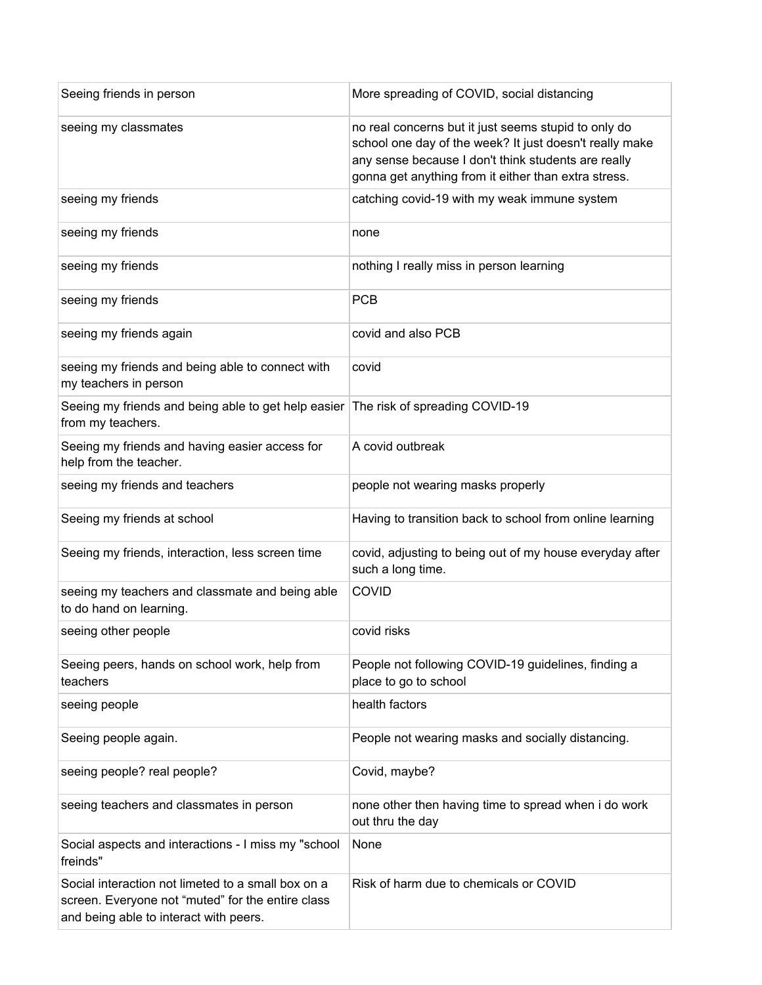| Seeing friends in person                                                                                                                          | More spreading of COVID, social distancing                                                                                                                                                                                     |
|---------------------------------------------------------------------------------------------------------------------------------------------------|--------------------------------------------------------------------------------------------------------------------------------------------------------------------------------------------------------------------------------|
| seeing my classmates                                                                                                                              | no real concerns but it just seems stupid to only do<br>school one day of the week? It just doesn't really make<br>any sense because I don't think students are really<br>gonna get anything from it either than extra stress. |
| seeing my friends                                                                                                                                 | catching covid-19 with my weak immune system                                                                                                                                                                                   |
| seeing my friends                                                                                                                                 | none                                                                                                                                                                                                                           |
| seeing my friends                                                                                                                                 | nothing I really miss in person learning                                                                                                                                                                                       |
| seeing my friends                                                                                                                                 | <b>PCB</b>                                                                                                                                                                                                                     |
| seeing my friends again                                                                                                                           | covid and also PCB                                                                                                                                                                                                             |
| seeing my friends and being able to connect with<br>my teachers in person                                                                         | covid                                                                                                                                                                                                                          |
| Seeing my friends and being able to get help easier<br>from my teachers.                                                                          | The risk of spreading COVID-19                                                                                                                                                                                                 |
| Seeing my friends and having easier access for<br>help from the teacher.                                                                          | A covid outbreak                                                                                                                                                                                                               |
| seeing my friends and teachers                                                                                                                    | people not wearing masks properly                                                                                                                                                                                              |
| Seeing my friends at school                                                                                                                       | Having to transition back to school from online learning                                                                                                                                                                       |
| Seeing my friends, interaction, less screen time                                                                                                  | covid, adjusting to being out of my house everyday after<br>such a long time.                                                                                                                                                  |
| seeing my teachers and classmate and being able<br>to do hand on learning.                                                                        | COVID                                                                                                                                                                                                                          |
| seeing other people                                                                                                                               | covid risks                                                                                                                                                                                                                    |
| Seeing peers, hands on school work, help from<br>teachers                                                                                         | People not following COVID-19 guidelines, finding a<br>place to go to school                                                                                                                                                   |
| seeing people                                                                                                                                     | health factors                                                                                                                                                                                                                 |
| Seeing people again.                                                                                                                              | People not wearing masks and socially distancing.                                                                                                                                                                              |
| seeing people? real people?                                                                                                                       | Covid, maybe?                                                                                                                                                                                                                  |
| seeing teachers and classmates in person                                                                                                          | none other then having time to spread when i do work<br>out thru the day                                                                                                                                                       |
| Social aspects and interactions - I miss my "school<br>freinds"                                                                                   | None                                                                                                                                                                                                                           |
| Social interaction not limeted to a small box on a<br>screen. Everyone not "muted" for the entire class<br>and being able to interact with peers. | Risk of harm due to chemicals or COVID                                                                                                                                                                                         |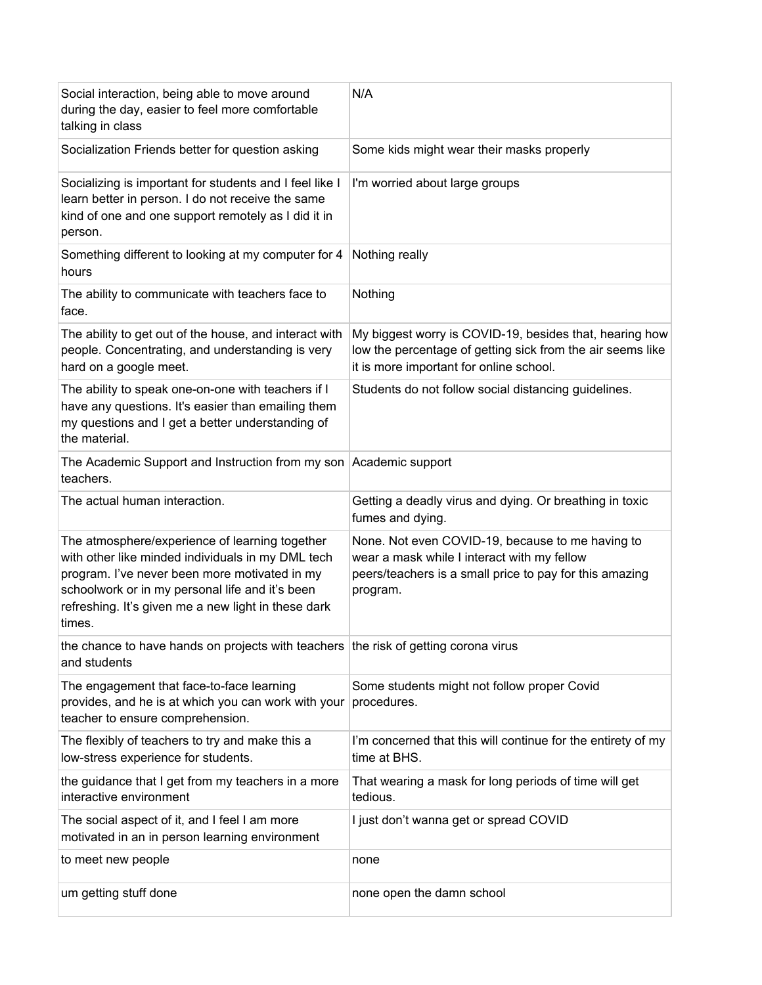| Social interaction, being able to move around<br>during the day, easier to feel more comfortable<br>talking in class                                                                                                                                                     | N/A                                                                                                                                                                    |
|--------------------------------------------------------------------------------------------------------------------------------------------------------------------------------------------------------------------------------------------------------------------------|------------------------------------------------------------------------------------------------------------------------------------------------------------------------|
| Socialization Friends better for question asking                                                                                                                                                                                                                         | Some kids might wear their masks properly                                                                                                                              |
| Socializing is important for students and I feel like I<br>learn better in person. I do not receive the same<br>kind of one and one support remotely as I did it in<br>person.                                                                                           | I'm worried about large groups                                                                                                                                         |
| Something different to looking at my computer for 4<br>hours                                                                                                                                                                                                             | Nothing really                                                                                                                                                         |
| The ability to communicate with teachers face to<br>face.                                                                                                                                                                                                                | Nothing                                                                                                                                                                |
| The ability to get out of the house, and interact with<br>people. Concentrating, and understanding is very<br>hard on a google meet.                                                                                                                                     | My biggest worry is COVID-19, besides that, hearing how<br>low the percentage of getting sick from the air seems like<br>it is more important for online school.       |
| The ability to speak one-on-one with teachers if I<br>have any questions. It's easier than emailing them<br>my questions and I get a better understanding of<br>the material.                                                                                            | Students do not follow social distancing guidelines.                                                                                                                   |
| The Academic Support and Instruction from my son Academic support<br>teachers.                                                                                                                                                                                           |                                                                                                                                                                        |
| The actual human interaction.                                                                                                                                                                                                                                            | Getting a deadly virus and dying. Or breathing in toxic<br>fumes and dying.                                                                                            |
| The atmosphere/experience of learning together<br>with other like minded individuals in my DML tech<br>program. I've never been more motivated in my<br>schoolwork or in my personal life and it's been<br>refreshing. It's given me a new light in these dark<br>times. | None. Not even COVID-19, because to me having to<br>wear a mask while I interact with my fellow<br>peers/teachers is a small price to pay for this amazing<br>program. |
| the chance to have hands on projects with teachers the risk of getting corona virus<br>and students                                                                                                                                                                      |                                                                                                                                                                        |
| The engagement that face-to-face learning<br>provides, and he is at which you can work with your<br>teacher to ensure comprehension.                                                                                                                                     | Some students might not follow proper Covid<br>procedures.                                                                                                             |
| The flexibly of teachers to try and make this a<br>low-stress experience for students.                                                                                                                                                                                   | I'm concerned that this will continue for the entirety of my<br>time at BHS.                                                                                           |
| the guidance that I get from my teachers in a more<br>interactive environment                                                                                                                                                                                            | That wearing a mask for long periods of time will get<br>tedious.                                                                                                      |
| The social aspect of it, and I feel I am more<br>motivated in an in person learning environment                                                                                                                                                                          | I just don't wanna get or spread COVID                                                                                                                                 |
| to meet new people                                                                                                                                                                                                                                                       | none                                                                                                                                                                   |
| um getting stuff done                                                                                                                                                                                                                                                    | none open the damn school                                                                                                                                              |